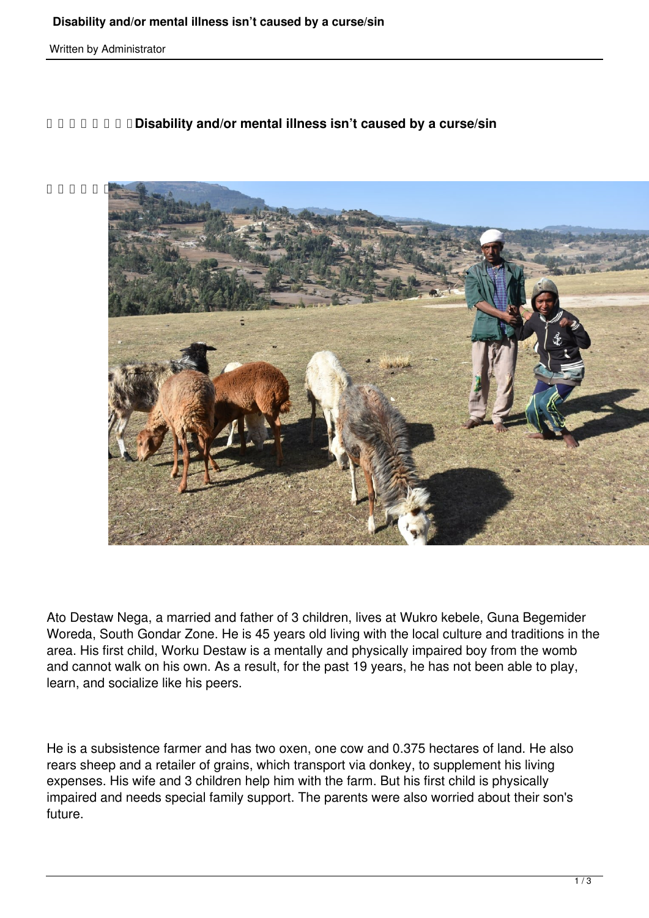Written by Administrator

## *DDDDD* **<b>***Disability and/or mental illness isn't caused by a curse/sin*



Ato Destaw Nega, a married and father of 3 children, lives at Wukro kebele, Guna Begemider Woreda, South Gondar Zone. He is 45 years old living with the local culture and traditions in the area. His first child, Worku Destaw is a mentally and physically impaired boy from the womb and cannot walk on his own. As a result, for the past 19 years, he has not been able to play, learn, and socialize like his peers.

He is a subsistence farmer and has two oxen, one cow and 0.375 hectares of land. He also rears sheep and a retailer of grains, which transport via donkey, to supplement his living expenses. His wife and 3 children help him with the farm. But his first child is physically impaired and needs special family support. The parents were also worried about their son's future.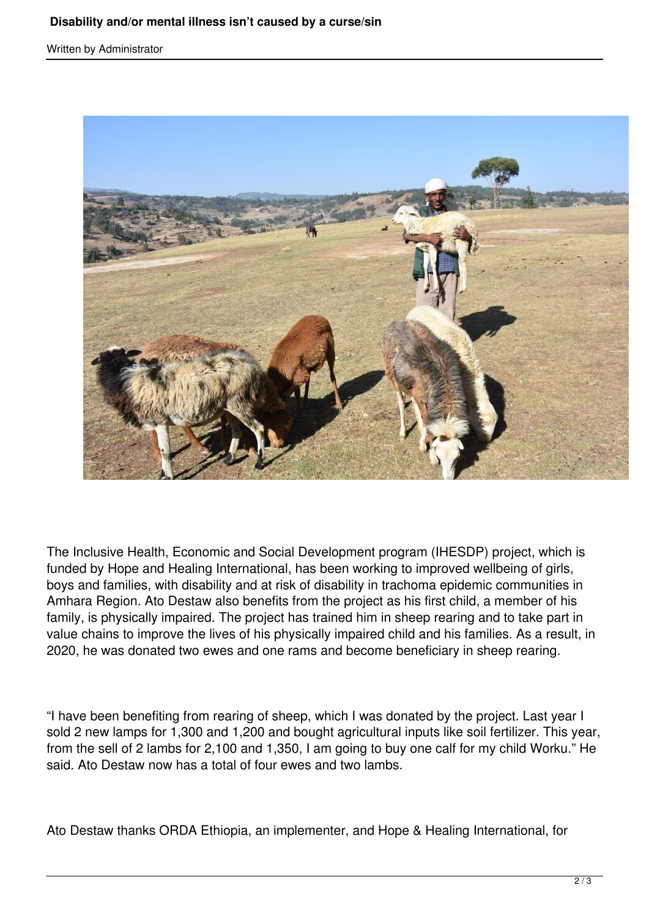Written by Administrator



The Inclusive Health, Economic and Social Development program (IHESDP) project, which is funded by Hope and Healing International, has been working to improved wellbeing of girls, boys and families, with disability and at risk of disability in trachoma epidemic communities in Amhara Region. Ato Destaw also benefits from the project as his first child, a member of his family, is physically impaired. The project has trained him in sheep rearing and to take part in value chains to improve the lives of his physically impaired child and his families. As a result, in 2020, he was donated two ewes and one rams and become beneficiary in sheep rearing.

"I have been benefiting from rearing of sheep, which I was donated by the project. Last year I sold 2 new lamps for 1,300 and 1,200 and bought agricultural inputs like soil fertilizer. This year, from the sell of 2 lambs for 2,100 and 1,350, I am going to buy one calf for my child Worku." He said. Ato Destaw now has a total of four ewes and two lambs.

Ato Destaw thanks ORDA Ethiopia, an implementer, and Hope & Healing International, for